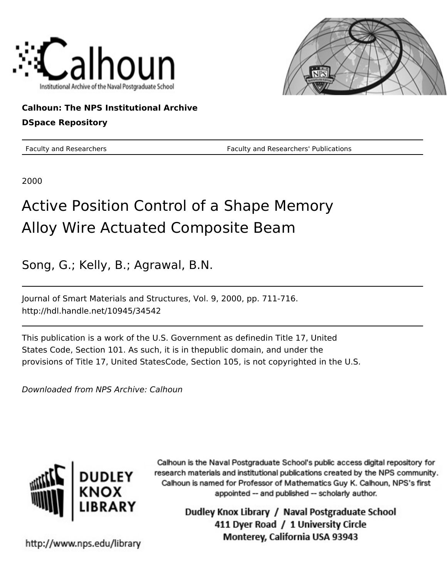



### **Calhoun: The NPS Institutional Archive**

### **DSpace Repository**

Faculty and Researchers **Faculty and Researchers' Publications** 

2000

# Active Position Control of a Shape Memory Alloy Wire Actuated Composite Beam

Song, G.; Kelly, B.; Agrawal, B.N.

Journal of Smart Materials and Structures, Vol. 9, 2000, pp. 711-716. http://hdl.handle.net/10945/34542

This publication is a work of the U.S. Government as definedin Title 17, United States Code, Section 101. As such, it is in thepublic domain, and under the provisions of Title 17, United StatesCode, Section 105, is not copyrighted in the U.S.

Downloaded from NPS Archive: Calhoun



Calhoun is the Naval Postgraduate School's public access digital repository for research materials and institutional publications created by the NPS community. Calhoun is named for Professor of Mathematics Guy K. Calhoun, NPS's first appointed -- and published -- scholarly author.

> Dudley Knox Library / Naval Postgraduate School 411 Dyer Road / 1 University Circle Monterey, California USA 93943

http://www.nps.edu/library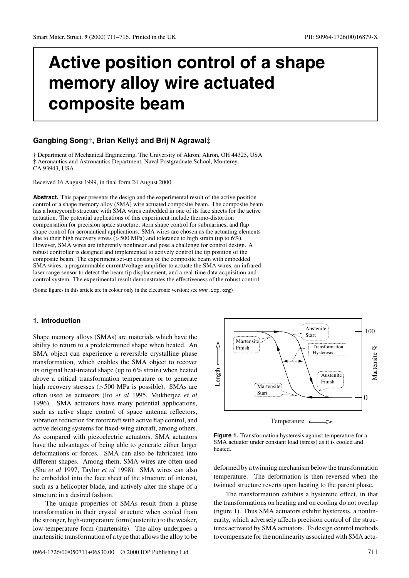## **Active position control of a shape memory alloy wire actuated composite beam**

#### **Gangbing Song**†**, Brian Kelly**‡ **and Brij N Agrawal**‡

† Department of Mechanical Engineering, The University of Akron, Akron, OH 44325, USA ‡ Aeronautics and Astronautics Department, Naval Postgraduate School, Monterey,

CA 93943, USA

Received 16 August 1999, in final form 24 August 2000

Abstract. This paper presents the design and the experimental result of the active position control of a shape memory alloy (SMA) wire actuated composite beam. The composite beam has a honeycomb structure with SMA wires embedded in one of its face sheets for the active actuation. The potential applications of this experiment include thermo-distortion compensation for precision space structure, stern shape control for submarines, and flap shape control for aeronautical applications. SMA wires are chosen as the actuating elements due to their high recovery stress (>500 MPa) and tolerance to high strain (up to 6%). However, SMA wires are inherently nonlinear and pose a challenge for control design. A robust controller is designed and implemented to actively control the tip position of the composite beam. The experiment set-up consists of the composite beam with embedded SMA wires, a programmable current/voltage amplifier to actuate the SMA wires, an infrared laser range sensor to detect the beam tip displacement, and a real-time data acquisition and control system. The experimental result demonstrates the effectiveness of the robust control.

(Some figures in this article are in colour only in the electronic version; see www.iop.org)

#### **1. Introduction**

Shape memory alloys (SMAs) are materials which have the ability to return to a predetermined shape when heated. An SMA object can experience a reversible crystalline phase transformation, which enables the SMA object to recover its original heat-treated shape (up to 6% strain) when heated above a critical transformation temperature or to generate high recovery stresses (>500 MPa is possible). SMAs are often used as actuators (Ito *et al* 1995, Mukherjee *et al* 1996). SMA actuators have many potential applications, such as active shape control of space antenna reflectors, vibration reduction for rotorcraft with active flap control, and active deicing systems for fixed-wing aircraft, among others. As compared with piezoelectric actuators, SMA actuators have the advantages of being able to generate either larger deformations or forces. SMA can also be fabricated into different shapes. Among them, SMA wires are often used (Shu *et al* 1997, Taylor *et al* 1998). SMA wires can also be embedded into the face sheet of the structure of interest, such as a helicopter blade, and actively alter the shape of a structure in a desired fashion.

The unique properties of SMAs result from a phase transformation in their crystal structure when cooled from the stronger, high-temperature form (austenite) to the weaker, low-temperature form (martensite). The alloy undergoes a martensitic transformation of a type that allows the alloy to be



**Figure 1.** Transformation hysteresis against temperature for a SMA actuator under constant load (stress) as it is cooled and heated.

deformed by a twinning mechanism below the transformation temperature. The deformation is then reversed when the twinned structure reverts upon heating to the parent phase.

The transformation exhibits a hysteretic effect, in that the transformations on heating and on cooling do not overlap (figure 1). Thus SMA actuators exhibit hysteresis, a nonlinearity, which adversely affects precision control of the structures activated by SMA actuators. To design control methods to compensate for the nonlinearity associated with SMA actu-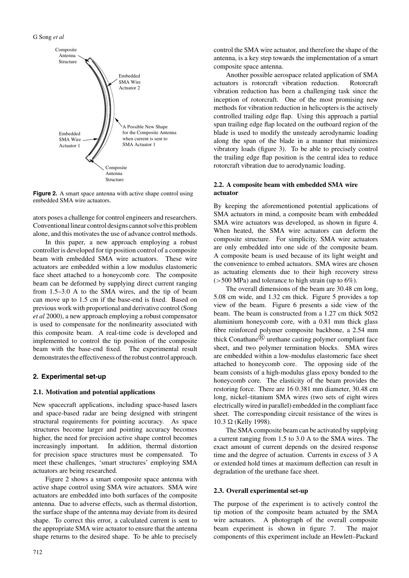

**Figure 2.** A smart space antenna with active shape control using embedded SMA wire actuators.

ators poses a challenge for control engineers and researchers. Conventional linear control designs cannot solve this problem alone, and this motivates the use of advance control methods.

In this paper, a new approach employing a robust controller is developed for tip position control of a composite beam with embedded SMA wire actuators. These wire actuators are embedded within a low modulus elastomeric face sheet attached to a honeycomb core. The composite beam can be deformed by supplying direct current ranging from 1.5–3.0 A to the SMA wires, and the tip of beam can move up to 1.5 cm if the base-end is fixed. Based on previous work with proportional and derivative control (Song *et al* 2000), a new approach employing a robust compensator is used to compensate for the nonlinearity associated with this composite beam. A real-time code is developed and implemented to control the tip position of the composite beam with the base-end fixed. The experimental result demonstrates the effectiveness of the robust control approach.

#### **2. Experimental set-up**

#### **2.1. Motivation and potential applications**

New spacecraft applications, including space-based lasers and space-based radar are being designed with stringent structural requirements for pointing accuracy. As space structures become larger and pointing accuracy becomes higher, the need for precision active shape control becomes increasingly important. In addition, thermal distortion for precision space structures must be compensated. To meet these challenges, 'smart structures' employing SMA actuators are being researched.

Figure 2 shows a smart composite space antenna with active shape control using SMA wire actuators. SMA wire actuators are embedded into both surfaces of the composite antenna. Due to adverse effects, such as thermal distortion, the surface shape of the antenna may deviate from its desired shape. To correct this error, a calculated current is sent to the appropriate SMA wire actuator to ensure that the antenna shape returns to the desired shape. To be able to precisely

control the SMA wire actuator, and therefore the shape of the antenna, is a key step towards the implementation of a smart composite space antenna.

Another possible aerospace related application of SMA actuators is rotorcraft vibration reduction. Rotorcraft vibration reduction has been a challenging task since the inception of rotorcraft. One of the most promising new methods for vibration reduction in helicopters is the actively controlled trailing edge flap. Using this approach a partial span trailing edge flap located on the outboard region of the blade is used to modify the unsteady aerodynamic loading along the span of the blade in a manner that minimizes vibratory loads (figure 3). To be able to precisely control the trailing edge flap position is the central idea to reduce rotorcraft vibration due to aerodynamic loading.

#### **2.2. A composite beam with embedded SMA wire actuator**

By keeping the aforementioned potential applications of SMA actuators in mind, a composite beam with embedded SMA wire actuators was developed, as shown in figure 4. When heated, the SMA wire actuators can deform the composite structure. For simplicity, SMA wire actuators are only embedded into one side of the composite beam. A composite beam is used because of its light weight and the convenience to embed actuators. SMA wires are chosen as actuating elements due to their high recovery stress (>500 MPa) and tolerance to high strain (up to 6%).

The overall dimensions of the beam are 30.48 cm long, 5.08 cm wide, and 1.32 cm thick. Figure 5 provides a top view of the beam. Figure 6 presents a side view of the beam. The beam is constructed from a 1.27 cm thick 5052 aluminium honeycomb core, with a 0.81 mm thick glass fibre reinforced polymer composite backbone, a 2.54 mm thick Conathane  $\mathbb{B}$  urethane casting polymer compliant face sheet, and two polymer termination blocks. SMA wires are embedded within a low-modulus elastomeric face sheet attached to honeycomb core. The opposing side of the beam consists of a high-modulus glass epoxy bonded to the honeycomb core. The elasticity of the beam provides the restoring force. There are 16 0.381 mm diameter, 30.48 cm long, nickel–titanium SMA wires (two sets of eight wires electrically wired in parallel) embedded in the compliant face sheet. The corresponding circuit resistance of the wires is  $10.3 \Omega$  (Kelly 1998).

The SMA composite beam can be activated by supplying a current ranging from 1.5 to 3.0 A to the SMA wires. The exact amount of current depends on the desired response time and the degree of actuation. Currents in excess of 3 A or extended hold times at maximum deflection can result in degradation of the urethane face sheet.

#### **2.3. Overall experimental set-up**

The purpose of the experiment is to actively control the tip motion of the composite beam actuated by the SMA wire actuators. A photograph of the overall composite beam experiment is shown in figure 7. The major components of this experiment include an Hewlett–Packard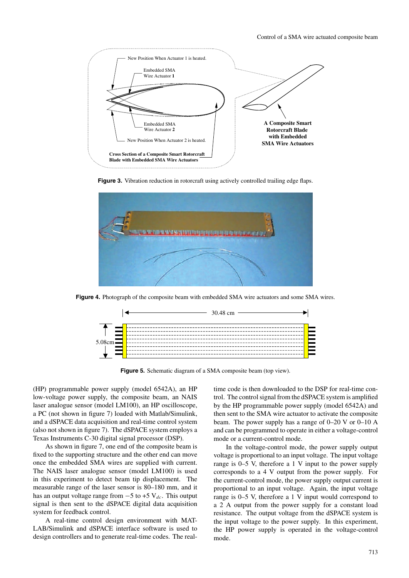

Figure 3. Vibration reduction in rotorcraft using actively controlled trailing edge flaps.



**Figure 4.** Photograph of the composite beam with embedded SMA wire actuators and some SMA wires.



**Figure 5.** Schematic diagram of a SMA composite beam (top view).

(HP) programmable power supply (model 6542A), an HP low-voltage power supply, the composite beam, an NAIS laser analogue sensor (model LM100), an HP oscilloscope, a PC (not shown in figure 7) loaded with Matlab/Simulink, and a dSPACE data acquisition and real-time control system (also not shown in figure 7). The dSPACE system employs a Texas Instruments C-30 digital signal processor (DSP).

As shown in figure 7, one end of the composite beam is fixed to the supporting structure and the other end can move once the embedded SMA wires are supplied with current. The NAIS laser analogue sensor (model LM100) is used in this experiment to detect beam tip displacement. The measurable range of the laser sensor is 80–180 mm, and it has an output voltage range from  $-5$  to +5 V<sub>dc</sub>. This output signal is then sent to the dSPACE digital data acquisition system for feedback control.

A real-time control design environment with MAT-LAB/Simulink and dSPACE interface software is used to design controllers and to generate real-time codes. The realtime code is then downloaded to the DSP for real-time control. The control signal from the dSPACE system is amplified by the HP programmable power supply (model 6542A) and then sent to the SMA wire actuator to activate the composite beam. The power supply has a range of 0–20 V or 0–10 A and can be programmed to operate in either a voltage-control mode or a current-control mode.

In the voltage-control mode, the power supply output voltage is proportional to an input voltage. The input voltage range is  $0-5$  V, therefore a 1 V input to the power supply corresponds to a 4 V output from the power supply. For the current-control mode, the power supply output current is proportional to an input voltage. Again, the input voltage range is  $0-5$  V, therefore a 1 V input would correspond to a 2 A output from the power supply for a constant load resistance. The output voltage from the dSPACE system is the input voltage to the power supply. In this experiment, the HP power supply is operated in the voltage-control mode.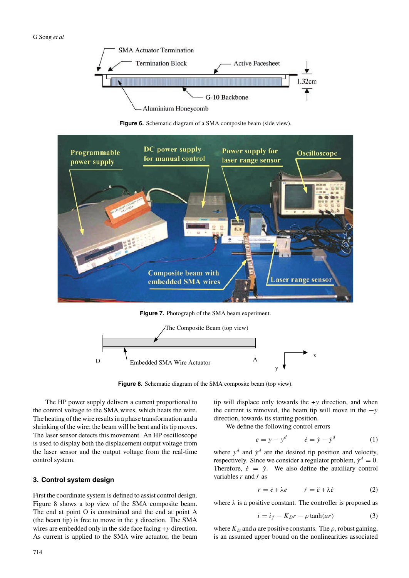

**Figure 6.** Schematic diagram of a SMA composite beam (side view).



**Figure 7.** Photograph of the SMA beam experiment.



Figure 8. Schematic diagram of the SMA composite beam (top view).

The HP power supply delivers a current proportional to the control voltage to the SMA wires, which heats the wire. The heating of the wire results in a phase transformation and a shrinking of the wire; the beam will be bent and its tip moves. The laser sensor detects this movement. An HP oscilloscope is used to display both the displacement output voltage from the laser sensor and the output voltage from the real-time control system.

#### **3. Control system design**

First the coordinate system is defined to assist control design. Figure 8 shows a top view of the SMA composite beam. The end at point O is constrained and the end at point A (the beam tip) is free to move in the y direction. The SMA wires are embedded only in the side face facing +y direction. As current is applied to the SMA wire actuator, the beam tip will displace only towards the  $+y$  direction, and when the current is removed, the beam tip will move in the  $-y$ direction, towards its starting position.

We define the following control errors

$$
e = y - y^d \qquad \dot{e} = \dot{y} - \dot{y}^d \tag{1}
$$

where  $y^d$  and  $\dot{y}^d$  are the desired tip position and velocity, respectively. Since we consider a regulator problem,  $\dot{y}^d = 0$ . Therefore,  $\dot{e} = \dot{y}$ . We also define the auxiliary control variables  $r$  and  $\dot{r}$  as

$$
r = \dot{e} + \lambda e \qquad \dot{r} = \ddot{e} + \lambda \dot{e} \tag{2}
$$

where  $\lambda$  is a positive constant. The controller is proposed as

$$
i = i_f - K_D r - \rho \tanh(ar) \tag{3}
$$

where  $K_D$  and a are positive constants. The  $\rho$ , robust gaining, is an assumed upper bound on the nonlinearities associated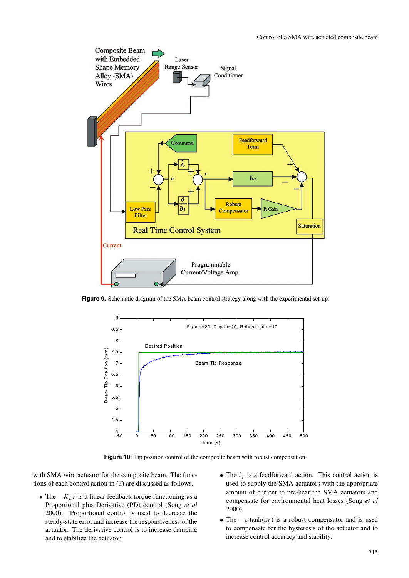

**Figure 9.** Schematic diagram of the SMA beam control strategy along with the experimental set-up.



**Figure 10.** Tip position control of the composite beam with robust compensation.

with SMA wire actuator for the composite beam. The functions of each control action in (3) are discussed as follows.

- The  $-K_Dr$  is a linear feedback torque functioning as a Proportional plus Derivative (PD) control (Song *et al* 2000). Proportional control is used to decrease the steady-state error and increase the responsiveness of the actuator. The derivative control is to increase damping and to stabilize the actuator.
- The  $i_f$  is a feedforward action. This control action is used to supply the SMA actuators with the appropriate amount of current to pre-heat the SMA actuators and compensate for environmental heat losses (Song *et al* 2000).
- The  $-\rho \tanh(ar)$  is a robust compensator and is used to compensate for the hysteresis of the actuator and to increase control accuracy and stability.